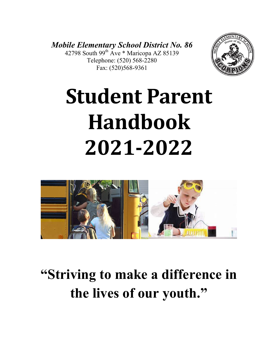*Mobile Elementary School District No. 86* 42798 South  $99^{th}$  Ave \* Maricopa AZ 85139 Telephone: (520) 568-2280 Fax: (520)568-9361



# **Student Parent Handbook 2021-2022**



**"Striving to make a difference in the lives of our youth."**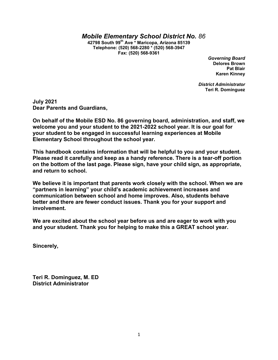#### *Mobile Elementary School District No. 86*

**42798 South 99th Ave \* Maricopa, Arizona 85139 Telephone: (520) 568-2280 \* (520) 568-3947 Fax: (520) 568-9361**

> *Governing Board* **Delores Brown Pat Blair Karen Kinney**

*District Administrator* **Teri R. Dominguez**

**July 2021 Dear Parents and Guardians,**

**On behalf of the Mobile ESD No. 86 governing board, administration, and staff, we welcome you and your student to the 2021-2022 school year. It is our goal for your student to be engaged in successful learning experiences at Mobile Elementary School throughout the school year.**

**This handbook contains information that will be helpful to you and your student. Please read it carefully and keep as a handy reference. There is a tear-off portion on the bottom of the last page. Please sign, have your child sign, as appropriate, and return to school.**

**We believe it is important that parents work closely with the school. When we are "partners in learning" your child's academic achievement increases and communication between school and home improves. Also, students behave better and there are fewer conduct issues. Thank you for your support and involvement.** 

**We are excited about the school year before us and are eager to work with you and your student. Thank you for helping to make this a GREAT school year.**

**Sincerely,**

**Teri R. Dominguez, M. ED District Administrator**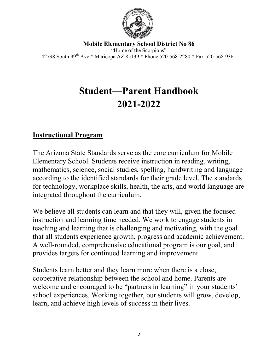

**Mobile Elementary School District No 86** "Home of the Scorpions" 42798 South 99th Ave \* Maricopa AZ 85139 \* Phone 520-568-2280 \* Fax 520-568-9361

## **Student—Parent Handbook 2021-2022**

## **Instructional Program**

The Arizona State Standards serve as the core curriculum for Mobile Elementary School. Students receive instruction in reading, writing, mathematics, science, social studies, spelling, handwriting and language according to the identified standards for their grade level. The standards for technology, workplace skills, health, the arts, and world language are integrated throughout the curriculum.

We believe all students can learn and that they will, given the focused instruction and learning time needed. We work to engage students in teaching and learning that is challenging and motivating, with the goal that all students experience growth, progress and academic achievement. A well-rounded, comprehensive educational program is our goal, and provides targets for continued learning and improvement.

Students learn better and they learn more when there is a close, cooperative relationship between the school and home. Parents are welcome and encouraged to be "partners in learning" in your students' school experiences. Working together, our students will grow, develop, learn, and achieve high levels of success in their lives.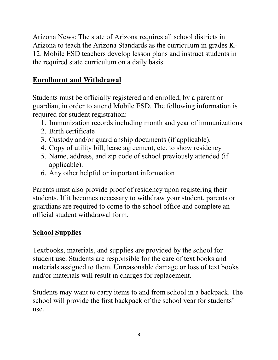Arizona News: The state of Arizona requires all school districts in Arizona to teach the Arizona Standards as the curriculum in grades K-12. Mobile ESD teachers develop lesson plans and instruct students in the required state curriculum on a daily basis.

## **Enrollment and Withdrawal**

Students must be officially registered and enrolled, by a parent or guardian, in order to attend Mobile ESD. The following information is required for student registration:

- 1. Immunization records including month and year of immunizations
- 2. Birth certificate
- 3. Custody and/or guardianship documents (if applicable).
- 4. Copy of utility bill, lease agreement, etc. to show residency
- 5. Name, address, and zip code of school previously attended (if applicable).
- 6. Any other helpful or important information

Parents must also provide proof of residency upon registering their students. If it becomes necessary to withdraw your student, parents or guardians are required to come to the school office and complete an official student withdrawal form.

## **School Supplies**

Textbooks, materials, and supplies are provided by the school for student use. Students are responsible for the care of text books and materials assigned to them. Unreasonable damage or loss of text books and/or materials will result in charges for replacement.

Students may want to carry items to and from school in a backpack. The school will provide the first backpack of the school year for students' use.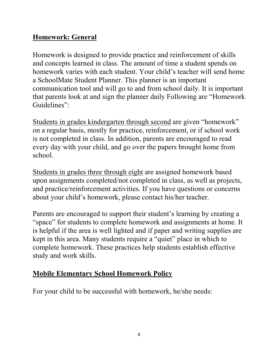## **Homework: General**

Homework is designed to provide practice and reinforcement of skills and concepts learned in class. The amount of time a student spends on homework varies with each student. Your child's teacher will send home a SchoolMate Student Planner. This planner is an important communication tool and will go to and from school daily. It is important that parents look at and sign the planner daily Following are "Homework Guidelines":

Students in grades kindergarten through second are given "homework" on a regular basis, mostly for practice, reinforcement, or if school work is not completed in class. In addition, parents are encouraged to read every day with your child, and go over the papers brought home from school.

Students in grades three through eight are assigned homework based upon assignments completed/not completed in class, as well as projects, and practice/reinforcement activities. If you have questions or concerns about your child's homework, please contact his/her teacher.

Parents are encouraged to support their student's learning by creating a "space" for students to complete homework and assignments at home. It is helpful if the area is well lighted and if paper and writing supplies are kept in this area. Many students require a "quiet" place in which to complete homework. These practices help students establish effective study and work skills.

## **Mobile Elementary School Homework Policy**

For your child to be successful with homework, he/she needs: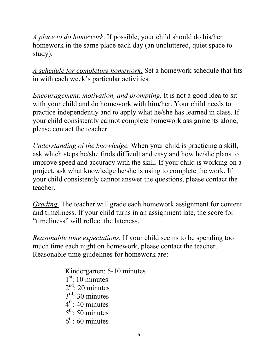*A place to do homework*. If possible, your child should do his/her homework in the same place each day (an uncluttered, quiet space to study).

*A schedule for completing homework.* Set a homework schedule that fits in with each week's particular activities.

*Encouragement, motivation, and prompting.* It is not a good idea to sit with your child and do homework with him/her. Your child needs to practice independently and to apply what he/she has learned in class. If your child consistently cannot complete homework assignments alone, please contact the teacher.

*Understanding of the knowledge.* When your child is practicing a skill, ask which steps he/she finds difficult and easy and how he/she plans to improve speed and accuracy with the skill. If your child is working on a project, ask what knowledge he/she is using to complete the work. If your child consistently cannot answer the questions, please contact the teacher.

*Grading.* The teacher will grade each homework assignment for content and timeliness. If your child turns in an assignment late, the score for "timeliness" will reflect the lateness.

*Reasonable time expectations.* If your child seems to be spending too much time each night on homework, please contact the teacher. Reasonable time guidelines for homework are:

> Kindergarten: 5-10 minutes  $1<sup>st</sup>$ : 10 minutes  $2<sup>nd</sup>$ : 20 minutes  $3<sup>rd</sup>$ : 30 minutes  $4<sup>th</sup>$ : 40 minutes  $5<sup>th</sup>$ : 50 minutes  $6<sup>th</sup>$ : 60 minutes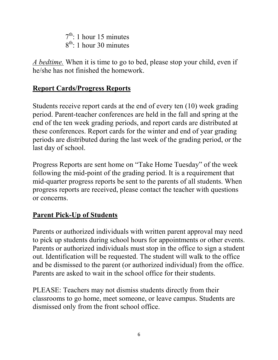$7<sup>th</sup>$ : 1 hour 15 minutes  $8<sup>th</sup>$ : 1 hour 30 minutes

*A bedtime.* When it is time to go to bed, please stop your child, even if he/she has not finished the homework.

#### **Report Cards/Progress Reports**

Students receive report cards at the end of every ten (10) week grading period. Parent-teacher conferences are held in the fall and spring at the end of the ten week grading periods, and report cards are distributed at these conferences. Report cards for the winter and end of year grading periods are distributed during the last week of the grading period, or the last day of school.

Progress Reports are sent home on "Take Home Tuesday" of the week following the mid-point of the grading period. It is a requirement that mid-quarter progress reports be sent to the parents of all students. When progress reports are received, please contact the teacher with questions or concerns.

## **Parent Pick-Up of Students**

Parents or authorized individuals with written parent approval may need to pick up students during school hours for appointments or other events. Parents or authorized individuals must stop in the office to sign a student out. Identification will be requested. The student will walk to the office and be dismissed to the parent (or authorized individual) from the office. Parents are asked to wait in the school office for their students.

PLEASE: Teachers may not dismiss students directly from their classrooms to go home, meet someone, or leave campus. Students are dismissed only from the front school office.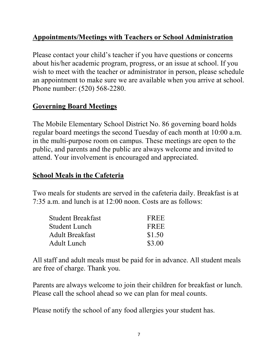## **Appointments/Meetings with Teachers or School Administration**

Please contact your child's teacher if you have questions or concerns about his/her academic program, progress, or an issue at school. If you wish to meet with the teacher or administrator in person, please schedule an appointment to make sure we are available when you arrive at school. Phone number: (520) 568-2280.

## **Governing Board Meetings**

The Mobile Elementary School District No. 86 governing board holds regular board meetings the second Tuesday of each month at 10:00 a.m. in the multi-purpose room on campus. These meetings are open to the public, and parents and the public are always welcome and invited to attend. Your involvement is encouraged and appreciated.

#### **School Meals in the Cafeteria**

Two meals for students are served in the cafeteria daily. Breakfast is at 7:35 a.m. and lunch is at 12:00 noon. Costs are as follows:

| <b>Student Breakfast</b> | FREE   |
|--------------------------|--------|
| Student Lunch            | FREE   |
| <b>Adult Breakfast</b>   | \$1.50 |
| Adult Lunch              | \$3.00 |

All staff and adult meals must be paid for in advance. All student meals are free of charge. Thank you.

Parents are always welcome to join their children for breakfast or lunch. Please call the school ahead so we can plan for meal counts.

Please notify the school of any food allergies your student has.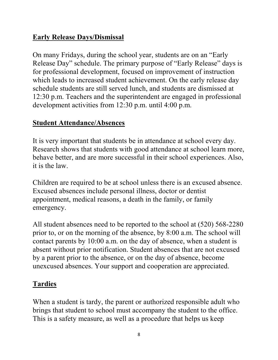## **Early Release Days/Dismissal**

On many Fridays, during the school year, students are on an "Early Release Day" schedule. The primary purpose of "Early Release" days is for professional development, focused on improvement of instruction which leads to increased student achievement. On the early release day schedule students are still served lunch, and students are dismissed at 12:30 p.m. Teachers and the superintendent are engaged in professional development activities from 12:30 p.m. until 4:00 p.m.

#### **Student Attendance/Absences**

It is very important that students be in attendance at school every day. Research shows that students with good attendance at school learn more, behave better, and are more successful in their school experiences. Also, it is the law.

Children are required to be at school unless there is an excused absence. Excused absences include personal illness, doctor or dentist appointment, medical reasons, a death in the family, or family emergency.

All student absences need to be reported to the school at (520) 568-2280 prior to, or on the morning of the absence, by 8:00 a.m. The school will contact parents by 10:00 a.m. on the day of absence, when a student is absent without prior notification. Student absences that are not excused by a parent prior to the absence, or on the day of absence, become unexcused absences. Your support and cooperation are appreciated.

## **Tardies**

When a student is tardy, the parent or authorized responsible adult who brings that student to school must accompany the student to the office. This is a safety measure, as well as a procedure that helps us keep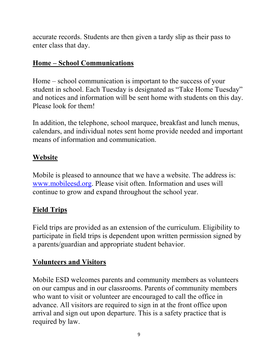accurate records. Students are then given a tardy slip as their pass to enter class that day.

## **Home – School Communications**

Home – school communication is important to the success of your student in school. Each Tuesday is designated as "Take Home Tuesday" and notices and information will be sent home with students on this day. Please look for them!

In addition, the telephone, school marquee, breakfast and lunch menus, calendars, and individual notes sent home provide needed and important means of information and communication.

## **Website**

Mobile is pleased to announce that we have a website. The address is: [www.mobileesd.org.](http://www.mobileesd.org/) Please visit often. Information and uses will continue to grow and expand throughout the school year.

## **Field Trips**

Field trips are provided as an extension of the curriculum. Eligibility to participate in field trips is dependent upon written permission signed by a parents/guardian and appropriate student behavior.

## **Volunteers and Visitors**

Mobile ESD welcomes parents and community members as volunteers on our campus and in our classrooms. Parents of community members who want to visit or volunteer are encouraged to call the office in advance. All visitors are required to sign in at the front office upon arrival and sign out upon departure. This is a safety practice that is required by law.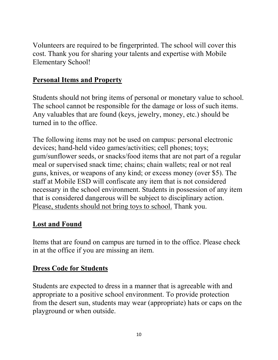Volunteers are required to be fingerprinted. The school will cover this cost. Thank you for sharing your talents and expertise with Mobile Elementary School!

#### **Personal Items and Property**

Students should not bring items of personal or monetary value to school. The school cannot be responsible for the damage or loss of such items. Any valuables that are found (keys, jewelry, money, etc.) should be turned in to the office.

The following items may not be used on campus: personal electronic devices; hand-held video games/activities; cell phones; toys; gum/sunflower seeds, or snacks/food items that are not part of a regular meal or supervised snack time; chains; chain wallets; real or not real guns, knives, or weapons of any kind; or excess money (over \$5). The staff at Mobile ESD will confiscate any item that is not considered necessary in the school environment. Students in possession of any item that is considered dangerous will be subject to disciplinary action. Please, students should not bring toys to school. Thank you.

#### **Lost and Found**

Items that are found on campus are turned in to the office. Please check in at the office if you are missing an item.

#### **Dress Code for Students**

Students are expected to dress in a manner that is agreeable with and appropriate to a positive school environment. To provide protection from the desert sun, students may wear (appropriate) hats or caps on the playground or when outside.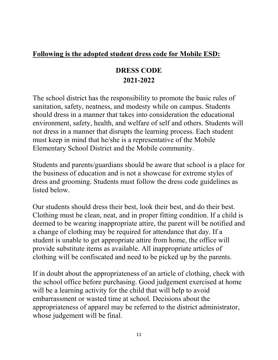#### **Following is the adopted student dress code for Mobile ESD:**

## **DRESS CODE 2021-2022**

The school district has the responsibility to promote the basic rules of sanitation, safety, neatness, and modesty while on campus. Students should dress in a manner that takes into consideration the educational environment, safety, health, and welfare of self and others. Students will not dress in a manner that disrupts the learning process. Each student must keep in mind that he/she is a representative of the Mobile Elementary School District and the Mobile community.

Students and parents/guardians should be aware that school is a place for the business of education and is not a showcase for extreme styles of dress and grooming. Students must follow the dress code guidelines as listed below.

Our students should dress their best, look their best, and do their best. Clothing must be clean, neat, and in proper fitting condition. If a child is deemed to be wearing inappropriate attire, the parent will be notified and a change of clothing may be required for attendance that day. If a student is unable to get appropriate attire from home, the office will provide substitute items as available. All inappropriate articles of clothing will be confiscated and need to be picked up by the parents.

If in doubt about the appropriateness of an article of clothing, check with the school office before purchasing. Good judgement exercised at home will be a learning activity for the child that will help to avoid embarrassment or wasted time at school. Decisions about the appropriateness of apparel may be referred to the district administrator, whose judgement will be final.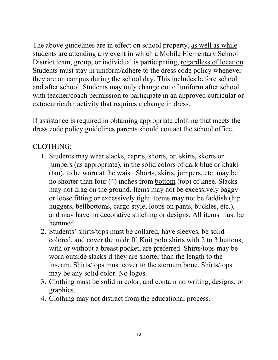The above guidelines are in effect on school property, as well as while students are attending any event in which a Mobile Elementary School District team, group, or individual is participating, regardless of location. Students must stay in uniform/adhere to the dress code policy whenever they are on campus during the school day. This includes before school and after school. Students may only change out of uniform after school with teacher/coach permission to participate in an approved curricular or extracurricular activity that requires a change in dress.

If assistance is required in obtaining appropriate clothing that meets the dress code policy guidelines parents should contact the school office.

## CLOTHING:

- 1. Students may wear slacks, capris, shorts, or, skirts, skorts or jumpers (as appropriate), in the solid colors of dark blue or khaki (tan), to be worn at the waist. Shorts, skirts, jumpers, etc. may be no shorter than four (4) inches from bottom (top) of knee. Slacks may not drag on the ground. Items may not be excessively baggy or loose fitting or excessively tight. Items may not be faddish (hip huggers, bellbottoms, cargo style, loops on pants, buckles, etc.), and may have no decorative stitching or designs. All items must be hemmed.
- 2. Students' shirts/tops must be collared, have sleeves, be solid colored, and cover the midriff. Knit polo shirts with 2 to 3 buttons, with or without a breast pocket, are preferred. Shirts/tops may be worn outside slacks if they are shorter than the length to the inseam. Shirts/tops must cover to the sternum bone. Shirts/tops may be any solid color. No logos.
- 3. Clothing must be solid in color, and contain no writing, designs, or graphics.
- 4. Clothing may not distract from the educational process.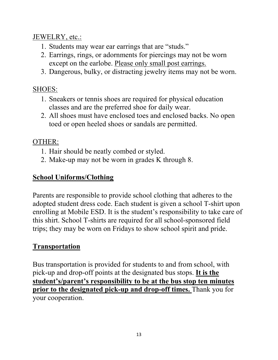JEWELRY, etc.:

- 1. Students may wear ear earrings that are "studs."
- 2. Earrings, rings, or adornments for piercings may not be worn except on the earlobe. Please only small post earrings.
- 3. Dangerous, bulky, or distracting jewelry items may not be worn.

## SHOES:

- 1. Sneakers or tennis shoes are required for physical education classes and are the preferred shoe for daily wear.
- 2. All shoes must have enclosed toes and enclosed backs. No open toed or open heeled shoes or sandals are permitted.

## OTHER:

- 1. Hair should be neatly combed or styled.
- 2. Make-up may not be worn in grades K through 8.

## **School Uniforms/Clothing**

Parents are responsible to provide school clothing that adheres to the adopted student dress code. Each student is given a school T-shirt upon enrolling at Mobile ESD. It is the student's responsibility to take care of this shirt. School T-shirts are required for all school-sponsored field trips; they may be worn on Fridays to show school spirit and pride.

## **Transportation**

Bus transportation is provided for students to and from school, with pick-up and drop-off points at the designated bus stops. **It is the student's/parent's responsibility to be at the bus stop ten minutes prior to the designated pick-up and drop-off times.** Thank you for your cooperation.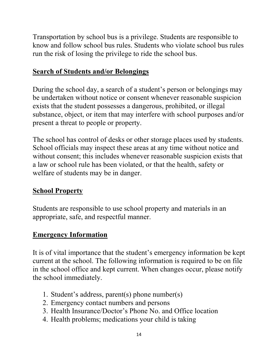Transportation by school bus is a privilege. Students are responsible to know and follow school bus rules. Students who violate school bus rules run the risk of losing the privilege to ride the school bus.

#### **Search of Students and/or Belongings**

During the school day, a search of a student's person or belongings may be undertaken without notice or consent whenever reasonable suspicion exists that the student possesses a dangerous, prohibited, or illegal substance, object, or item that may interfere with school purposes and/or present a threat to people or property.

The school has control of desks or other storage places used by students. School officials may inspect these areas at any time without notice and without consent; this includes whenever reasonable suspicion exists that a law or school rule has been violated, or that the health, safety or welfare of students may be in danger.

#### **School Property**

Students are responsible to use school property and materials in an appropriate, safe, and respectful manner.

#### **Emergency Information**

It is of vital importance that the student's emergency information be kept current at the school. The following information is required to be on file in the school office and kept current. When changes occur, please notify the school immediately.

- 1. Student's address, parent(s) phone number(s)
- 2. Emergency contact numbers and persons
- 3. Health Insurance/Doctor's Phone No. and Office location
- 4. Health problems; medications your child is taking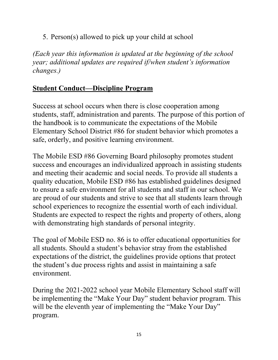5. Person(s) allowed to pick up your child at school

*(Each year this information is updated at the beginning of the school year; additional updates are required if/when student's information changes.)*

#### **Student Conduct—Discipline Program**

Success at school occurs when there is close cooperation among students, staff, administration and parents. The purpose of this portion of the handbook is to communicate the expectations of the Mobile Elementary School District #86 for student behavior which promotes a safe, orderly, and positive learning environment.

The Mobile ESD #86 Governing Board philosophy promotes student success and encourages an individualized approach in assisting students and meeting their academic and social needs. To provide all students a quality education, Mobile ESD #86 has established guidelines designed to ensure a safe environment for all students and staff in our school. We are proud of our students and strive to see that all students learn through school experiences to recognize the essential worth of each individual. Students are expected to respect the rights and property of others, along with demonstrating high standards of personal integrity.

The goal of Mobile ESD no. 86 is to offer educational opportunities for all students. Should a student's behavior stray from the established expectations of the district, the guidelines provide options that protect the student's due process rights and assist in maintaining a safe environment.

During the 2021-2022 school year Mobile Elementary School staff will be implementing the "Make Your Day" student behavior program. This will be the eleventh year of implementing the "Make Your Day" program.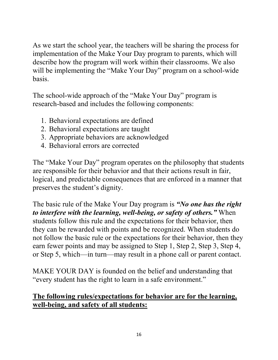As we start the school year, the teachers will be sharing the process for implementation of the Make Your Day program to parents, which will describe how the program will work within their classrooms. We also will be implementing the "Make Your Day" program on a school-wide basis.

The school-wide approach of the "Make Your Day" program is research-based and includes the following components:

- 1. Behavioral expectations are defined
- 2. Behavioral expectations are taught
- 3. Appropriate behaviors are acknowledged
- 4. Behavioral errors are corrected

The "Make Your Day" program operates on the philosophy that students are responsible for their behavior and that their actions result in fair, logical, and predictable consequences that are enforced in a manner that preserves the student's dignity.

The basic rule of the Make Your Day program is *"No one has the right to interfere with the learning, well-being, or safety of others."* When students follow this rule and the expectations for their behavior, then they can be rewarded with points and be recognized. When students do not follow the basic rule or the expectations for their behavior, then they earn fewer points and may be assigned to Step 1, Step 2, Step 3, Step 4, or Step 5, which—in turn—may result in a phone call or parent contact.

MAKE YOUR DAY is founded on the belief and understanding that "every student has the right to learn in a safe environment."

#### **The following rules/expectations for behavior are for the learning, well-being, and safety of all students:**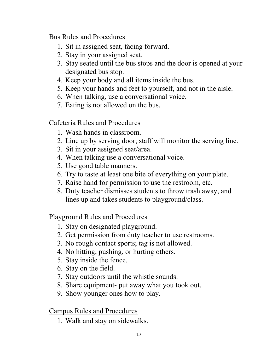Bus Rules and Procedures

- 1. Sit in assigned seat, facing forward.
- 2. Stay in your assigned seat.
- 3. Stay seated until the bus stops and the door is opened at your designated bus stop.
- 4. Keep your body and all items inside the bus.
- 5. Keep your hands and feet to yourself, and not in the aisle.
- 6. When talking, use a conversational voice.
- 7. Eating is not allowed on the bus.

## Cafeteria Rules and Procedures

- 1. Wash hands in classroom.
- 2. Line up by serving door; staff will monitor the serving line.
- 3. Sit in your assigned seat/area.
- 4. When talking use a conversational voice.
- 5. Use good table manners.
- 6. Try to taste at least one bite of everything on your plate.
- 7. Raise hand for permission to use the restroom, etc.
- 8. Duty teacher dismisses students to throw trash away, and lines up and takes students to playground/class.

Playground Rules and Procedures

- 1. Stay on designated playground.
- 2. Get permission from duty teacher to use restrooms.
- 3. No rough contact sports; tag is not allowed.
- 4. No hitting, pushing, or hurting others.
- 5. Stay inside the fence.
- 6. Stay on the field.
- 7. Stay outdoors until the whistle sounds.
- 8. Share equipment- put away what you took out.
- 9. Show younger ones how to play.

Campus Rules and Procedures

1. Walk and stay on sidewalks.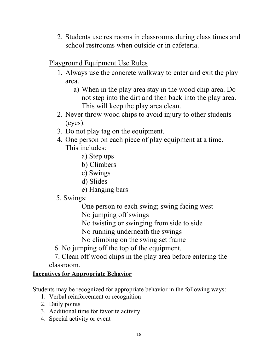2. Students use restrooms in classrooms during class times and school restrooms when outside or in cafeteria.

## Playground Equipment Use Rules

- 1. Always use the concrete walkway to enter and exit the play area.
	- a) When in the play area stay in the wood chip area. Do not step into the dirt and then back into the play area. This will keep the play area clean.
- 2. Never throw wood chips to avoid injury to other students (eyes).
- 3. Do not play tag on the equipment.
- 4. One person on each piece of play equipment at a time. This includes:
	- a) Step ups
	- b) Climbers
	- c) Swings
	- d) Slides
	- e) Hanging bars
- 5. Swings:
	- One person to each swing; swing facing west No jumping off swings
	- No twisting or swinging from side to side
	- No running underneath the swings
	- No climbing on the swing set frame
- 6. No jumping off the top of the equipment.
- 7. Clean off wood chips in the play area before entering the classroom.

#### **Incentives for Appropriate Behavior**

Students may be recognized for appropriate behavior in the following ways:

- 1. Verbal reinforcement or recognition
- 2. Daily points
- 3. Additional time for favorite activity
- 4. Special activity or event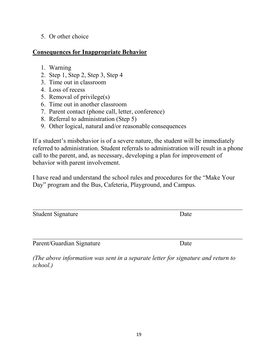#### 5. Or other choice

#### **Consequences for Inappropriate Behavior**

- 1. Warning
- 2. Step 1, Step 2, Step 3, Step 4
- 3. Time out in classroom
- 4. Loss of recess
- 5. Removal of privilege(s)
- 6. Time out in another classroom
- 7. Parent contact (phone call, letter, conference)
- 8. Referral to administration (Step 5)
- 9. Other logical, natural and/or reasonable consequences

If a student's misbehavior is of a severe nature, the student will be immediately referred to administration. Student referrals to administration will result in a phone call to the parent, and, as necessary, developing a plan for improvement of behavior with parent involvement.

I have read and understand the school rules and procedures for the "Make Your Day" program and the Bus, Cafeteria, Playground, and Campus.

| Student Signature | Date |
|-------------------|------|
|-------------------|------|

 $\_$  , and the set of the set of the set of the set of the set of the set of the set of the set of the set of the set of the set of the set of the set of the set of the set of the set of the set of the set of the set of th Parent/Guardian Signature Date

*(The above information was sent in a separate letter for signature and return to school.)*

 $\_$  , and the set of the set of the set of the set of the set of the set of the set of the set of the set of the set of the set of the set of the set of the set of the set of the set of the set of the set of the set of th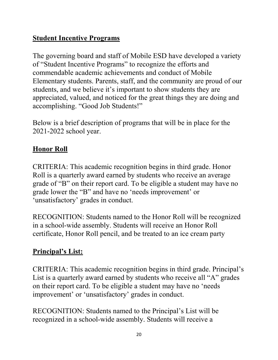## **Student Incentive Programs**

The governing board and staff of Mobile ESD have developed a variety of "Student Incentive Programs" to recognize the efforts and commendable academic achievements and conduct of Mobile Elementary students. Parents, staff, and the community are proud of our students, and we believe it's important to show students they are appreciated, valued, and noticed for the great things they are doing and accomplishing. "Good Job Students!"

Below is a brief description of programs that will be in place for the 2021-2022 school year.

#### **Honor Roll**

CRITERIA: This academic recognition begins in third grade. Honor Roll is a quarterly award earned by students who receive an average grade of "B" on their report card. To be eligible a student may have no grade lower the "B" and have no 'needs improvement' or 'unsatisfactory' grades in conduct.

RECOGNITION: Students named to the Honor Roll will be recognized in a school-wide assembly. Students will receive an Honor Roll certificate, Honor Roll pencil, and be treated to an ice cream party

## **Principal's List:**

CRITERIA: This academic recognition begins in third grade. Principal's List is a quarterly award earned by students who receive all "A" grades on their report card. To be eligible a student may have no 'needs improvement' or 'unsatisfactory' grades in conduct.

RECOGNITION: Students named to the Principal's List will be recognized in a school-wide assembly. Students will receive a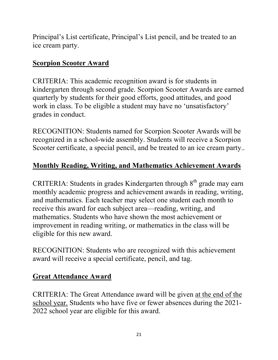Principal's List certificate, Principal's List pencil, and be treated to an ice cream party.

#### **Scorpion Scooter Award**

CRITERIA: This academic recognition award is for students in kindergarten through second grade. Scorpion Scooter Awards are earned quarterly by students for their good efforts, good attitudes, and good work in class. To be eligible a student may have no 'unsatisfactory' grades in conduct.

RECOGNITION: Students named for Scorpion Scooter Awards will be recognized in a school-wide assembly. Students will receive a Scorpion Scooter certificate, a special pencil, and be treated to an ice cream party..

## **Monthly Reading, Writing, and Mathematics Achievement Awards**

CRITERIA: Students in grades Kindergarten through  $8<sup>th</sup>$  grade may earn monthly academic progress and achievement awards in reading, writing, and mathematics. Each teacher may select one student each month to receive this award for each subject area—reading, writing, and mathematics. Students who have shown the most achievement or improvement in reading writing, or mathematics in the class will be eligible for this new award.

RECOGNITION: Students who are recognized with this achievement award will receive a special certificate, pencil, and tag.

## **Great Attendance Award**

CRITERIA: The Great Attendance award will be given at the end of the school year. Students who have five or fewer absences during the 2021- 2022 school year are eligible for this award.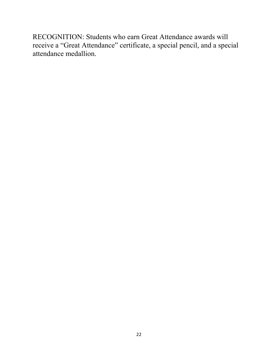RECOGNITION: Students who earn Great Attendance awards will receive a "Great Attendance" certificate, a special pencil, and a special attendance medallion.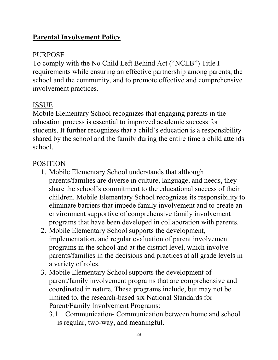## **Parental Involvement Policy**

#### PURPOSE

To comply with the No Child Left Behind Act ("NCLB") Title I requirements while ensuring an effective partnership among parents, the school and the community, and to promote effective and comprehensive involvement practices.

## ISSUE

Mobile Elementary School recognizes that engaging parents in the education process is essential to improved academic success for students. It further recognizes that a child's education is a responsibility shared by the school and the family during the entire time a child attends school.

## POSITION

- 1. Mobile Elementary School understands that although parents/families are diverse in culture, language, and needs, they share the school's commitment to the educational success of their children. Mobile Elementary School recognizes its responsibility to eliminate barriers that impede family involvement and to create an environment supportive of comprehensive family involvement programs that have been developed in collaboration with parents.
- 2. Mobile Elementary School supports the development, implementation, and regular evaluation of parent involvement programs in the school and at the district level, which involve parents/families in the decisions and practices at all grade levels in a variety of roles.
- 3. Mobile Elementary School supports the development of parent/family involvement programs that are comprehensive and coordinated in nature. These programs include, but may not be limited to, the research-based six National Standards for Parent/Family Involvement Programs:
	- 3.1. Communication- Communication between home and school is regular, two-way, and meaningful.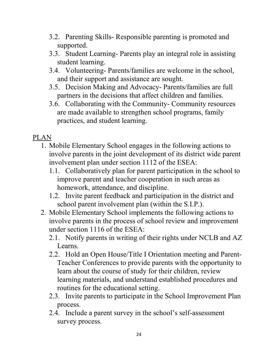- 3.2. Parenting Skills- Responsible parenting is promoted and supported.
- 3.3. Student Learning- Parents play an integral role in assisting student learning.
- 3.4. Volunteering- Parents/families are welcome in the school, and their support and assistance are sought.
- 3.5. Decision Making and Advocacy- Parents/families are full partners in the decisions that affect children and families.
- 3.6. Collaborating with the Community- Community resources are made available to strengthen school programs, family practices, and student learning.

#### PLAN

- 1. Mobile Elementary School engages in the following actions to involve parents in the joint development of its district wide parent involvement plan under section 1112 of the ESEA:
	- 1.1. Collaboratively plan for parent participation in the school to improve parent and teacher cooperation in such areas as homework, attendance, and discipline.
	- 1.2. Invite parent feedback and participation in the district and school parent involvement plan (within the S.I.P.).
- 2. Mobile Elementary School implements the following actions to involve parents in the process of school review and improvement under section 1116 of the ESEA:
	- 2.1. Notify parents in writing of their rights under NCLB and AZ Learns.
	- 2.2. Hold an Open House/Title I Orientation meeting and Parent-Teacher Conferences to provide parents with the opportunity to learn about the course of study for their children, review learning materials, and understand established procedures and routines for the educational setting.
	- 2.3. Invite parents to participate in the School Improvement Plan process.
	- 2.4. Include a parent survey in the school's self-assessment survey process.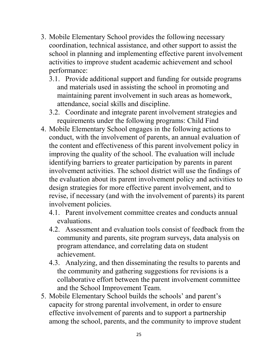- 3. Mobile Elementary School provides the following necessary coordination, technical assistance, and other support to assist the school in planning and implementing effective parent involvement activities to improve student academic achievement and school performance:
	- 3.1. Provide additional support and funding for outside programs and materials used in assisting the school in promoting and maintaining parent involvement in such areas as homework, attendance, social skills and discipline.
	- 3.2. Coordinate and integrate parent involvement strategies and requirements under the following programs: Child Find
- 4. Mobile Elementary School engages in the following actions to conduct, with the involvement of parents, an annual evaluation of the content and effectiveness of this parent involvement policy in improving the quality of the school. The evaluation will include identifying barriers to greater participation by parents in parent involvement activities. The school district will use the findings of the evaluation about its parent involvement policy and activities to design strategies for more effective parent involvement, and to revise, if necessary (and with the involvement of parents) its parent involvement policies.
	- 4.1. Parent involvement committee creates and conducts annual evaluations.
	- 4.2. Assessment and evaluation tools consist of feedback from the community and parents, site program surveys, data analysis on program attendance, and correlating data on student achievement.
	- 4.3. Analyzing, and then disseminating the results to parents and the community and gathering suggestions for revisions is a collaborative effort between the parent involvement committee and the School Improvement Team.
- 5. Mobile Elementary School builds the schools' and parent's capacity for strong parental involvement, in order to ensure effective involvement of parents and to support a partnership among the school, parents, and the community to improve student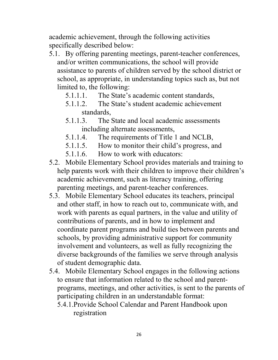academic achievement, through the following activities specifically described below:

- 5.1. By offering parenting meetings, parent-teacher conferences, and/or written communications, the school will provide assistance to parents of children served by the school district or school, as appropriate, in understanding topics such as, but not limited to, the following:
	- 5.1.1.1. The State's academic content standards,
	- 5.1.1.2. The State's student academic achievement standards,
	- 5.1.1.3. The State and local academic assessments including alternate assessments,
	- 5.1.1.4. The requirements of Title 1 and NCLB,
	- 5.1.1.5. How to monitor their child's progress, and
	- 5.1.1.6. How to work with educators:
- 5.2. Mobile Elementary School provides materials and training to help parents work with their children to improve their children's academic achievement, such as literacy training, offering parenting meetings, and parent-teacher conferences.
- 5.3. Mobile Elementary School educates its teachers, principal and other staff, in how to reach out to, communicate with, and work with parents as equal partners, in the value and utility of contributions of parents, and in how to implement and coordinate parent programs and build ties between parents and schools, by providing administrative support for community involvement and volunteers, as well as fully recognizing the diverse backgrounds of the families we serve through analysis of student demographic data.
- 5.4. Mobile Elementary School engages in the following actions to ensure that information related to the school and parentprograms, meetings, and other activities, is sent to the parents of participating children in an understandable format:
	- 5.4.1.Provide School Calendar and Parent Handbook upon registration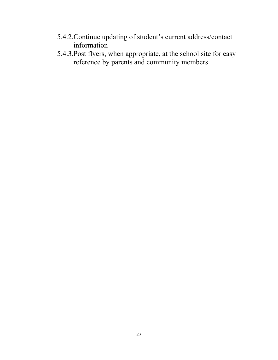- 5.4.2.Continue updating of student's current address/contact information
- 5.4.3.Post flyers, when appropriate, at the school site for easy reference by parents and community members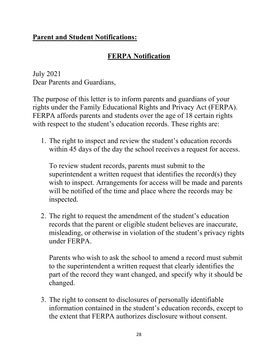#### **Parent and Student Notifications:**

## **FERPA Notification**

July 2021 Dear Parents and Guardians,

The purpose of this letter is to inform parents and guardians of your rights under the Family Educational Rights and Privacy Act (FERPA). FERPA affords parents and students over the age of 18 certain rights with respect to the student's education records. These rights are:

1. The right to inspect and review the student's education records within 45 days of the day the school receives a request for access.

To review student records, parents must submit to the superintendent a written request that identifies the record(s) they wish to inspect. Arrangements for access will be made and parents will be notified of the time and place where the records may be inspected.

2. The right to request the amendment of the student's education records that the parent or eligible student believes are inaccurate, misleading, or otherwise in violation of the student's privacy rights under FERPA.

Parents who wish to ask the school to amend a record must submit to the superintendent a written request that clearly identifies the part of the record they want changed, and specify why it should be changed.

3. The right to consent to disclosures of personally identifiable information contained in the student's education records, except to the extent that FERPA authorizes disclosure without consent.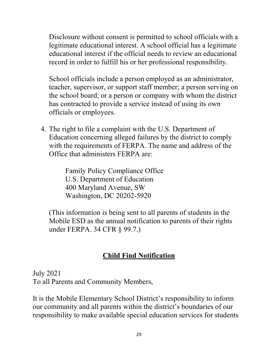Disclosure without consent is permitted to school officials with a legitimate educational interest. A school official has a legitimate educational interest if the official needs to review an educational record in order to fulfill his or her professional responsibility.

School officials include a person employed as an administrator, teacher, supervisor, or support staff member; a person serving on the school board; or a person or company with whom the district has contracted to provide a service instead of using its own officials or employees.

4. The right to file a complaint with the U.S. Department of Education concerning alleged failures by the district to comply with the requirements of FERPA. The name and address of the Office that administers FERPA are:

> Family Policy Compliance Office U.S. Department of Education 400 Maryland Avenue, SW Washington, DC 20202-5920

(This information is being sent to all parents of students in the Mobile ESD as the annual notification to parents of their rights under FERPA. 34 CFR § 99.7.)

## **Child Find Notification**

July 2021 To all Parents and Community Members,

It is the Mobile Elementary School District's responsibility to inform our community and all parents within the district's boundaries of our responsibility to make available special education services for students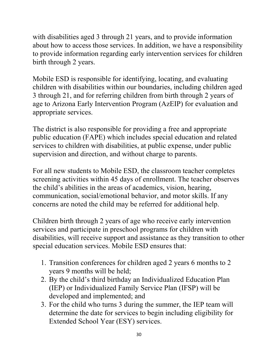with disabilities aged 3 through 21 years, and to provide information about how to access those services. In addition, we have a responsibility to provide information regarding early intervention services for children birth through 2 years.

Mobile ESD is responsible for identifying, locating, and evaluating children with disabilities within our boundaries, including children aged 3 through 21, and for referring children from birth through 2 years of age to Arizona Early Intervention Program (AzEIP) for evaluation and appropriate services.

The district is also responsible for providing a free and appropriate public education (FAPE) which includes special education and related services to children with disabilities, at public expense, under public supervision and direction, and without charge to parents.

For all new students to Mobile ESD, the classroom teacher completes screening activities within 45 days of enrollment. The teacher observes the child's abilities in the areas of academics, vision, hearing, communication, social/emotional behavior, and motor skills. If any concerns are noted the child may be referred for additional help.

Children birth through 2 years of age who receive early intervention services and participate in preschool programs for children with disabilities, will receive support and assistance as they transition to other special education services. Mobile ESD ensures that:

- 1. Transition conferences for children aged 2 years 6 months to 2 years 9 months will be held;
- 2. By the child's third birthday an Individualized Education Plan (IEP) or Individualized Family Service Plan (IFSP) will be developed and implemented; and
- 3. For the child who turns 3 during the summer, the IEP team will determine the date for services to begin including eligibility for Extended School Year (ESY) services.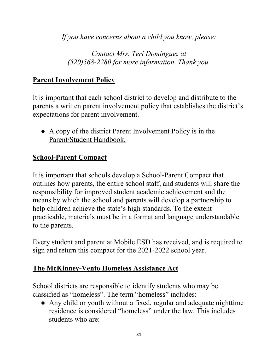*If you have concerns about a child you know, please:*

*Contact Mrs. Teri Dominguez at (520)568-2280 for more information. Thank you.*

## **Parent Involvement Policy**

It is important that each school district to develop and distribute to the parents a written parent involvement policy that establishes the district's expectations for parent involvement.

● A copy of the district Parent Involvement Policy is in the Parent/Student Handbook.

## **School-Parent Compact**

It is important that schools develop a School-Parent Compact that outlines how parents, the entire school staff, and students will share the responsibility for improved student academic achievement and the means by which the school and parents will develop a partnership to help children achieve the state's high standards. To the extent practicable, materials must be in a format and language understandable to the parents.

Every student and parent at Mobile ESD has received, and is required to sign and return this compact for the 2021-2022 school year.

## **The McKinney-Vento Homeless Assistance Act**

School districts are responsible to identify students who may be classified as "homeless". The term "homeless" includes:

• Any child or youth without a fixed, regular and adequate nighttime residence is considered "homeless" under the law. This includes students who are: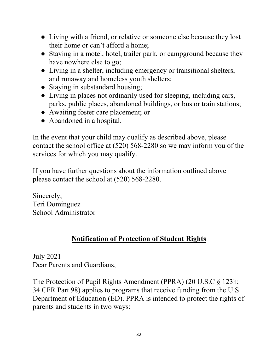- Living with a friend, or relative or someone else because they lost their home or can't afford a home;
- Staying in a motel, hotel, trailer park, or campground because they have nowhere else to go;
- Living in a shelter, including emergency or transitional shelters, and runaway and homeless youth shelters;
- Staying in substandard housing;
- Living in places not ordinarily used for sleeping, including cars, parks, public places, abandoned buildings, or bus or train stations;
- Awaiting foster care placement; or
- Abandoned in a hospital.

In the event that your child may qualify as described above, please contact the school office at (520) 568-2280 so we may inform you of the services for which you may qualify.

If you have further questions about the information outlined above please contact the school at (520) 568-2280.

Sincerely, Teri Dominguez School Administrator

## **Notification of Protection of Student Rights**

July 2021 Dear Parents and Guardians,

The Protection of Pupil Rights Amendment (PPRA) (20 U.S.C § 123h; 34 CFR Part 98) applies to programs that receive funding from the U.S. Department of Education (ED). PPRA is intended to protect the rights of parents and students in two ways: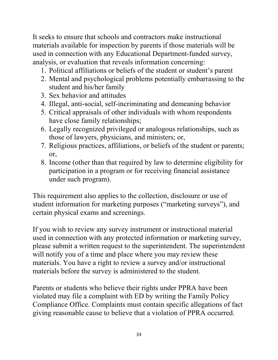It seeks to ensure that schools and contractors make instructional materials available for inspection by parents if those materials will be used in connection with any Educational Department-funded survey, analysis, or evaluation that reveals information concerning:

- 1. Political affiliations or beliefs of the student or student's parent
- 2. Mental and psychological problems potentially embarrassing to the student and his/her family
- 3. Sex behavior and attitudes
- 4. Illegal, anti-social, self-incriminating and demeaning behavior
- 5. Critical appraisals of other individuals with whom respondents have close family relationships;
- 6. Legally recognized privileged or analogous relationships, such as those of lawyers, physicians, and ministers; or,
- 7. Religious practices, affiliations, or beliefs of the student or parents; or,
- 8. Income (other than that required by law to determine eligibility for participation in a program or for receiving financial assistance under such program).

This requirement also applies to the collection, disclosure or use of student information for marketing purposes ("marketing surveys"), and certain physical exams and screenings.

If you wish to review any survey instrument or instructional material used in connection with any protected information or marketing survey, please submit a written request to the superintendent. The superintendent will notify you of a time and place where you may review these materials. You have a right to review a survey and/or instructional materials before the survey is administered to the student.

Parents or students who believe their rights under PPRA have been violated may file a complaint with ED by writing the Family Policy Compliance Office. Complaints must contain specific allegations of fact giving reasonable cause to believe that a violation of PPRA occurred.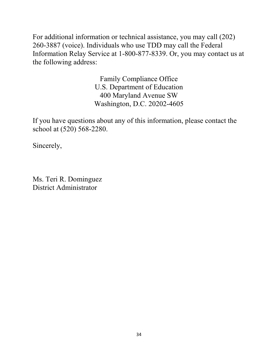For additional information or technical assistance, you may call (202) 260-3887 (voice). Individuals who use TDD may call the Federal Information Relay Service at 1-800-877-8339. Or, you may contact us at the following address:

> Family Compliance Office U.S. Department of Education 400 Maryland Avenue SW Washington, D.C. 20202-4605

If you have questions about any of this information, please contact the school at (520) 568-2280.

Sincerely,

Ms. Teri R. Dominguez District Administrator